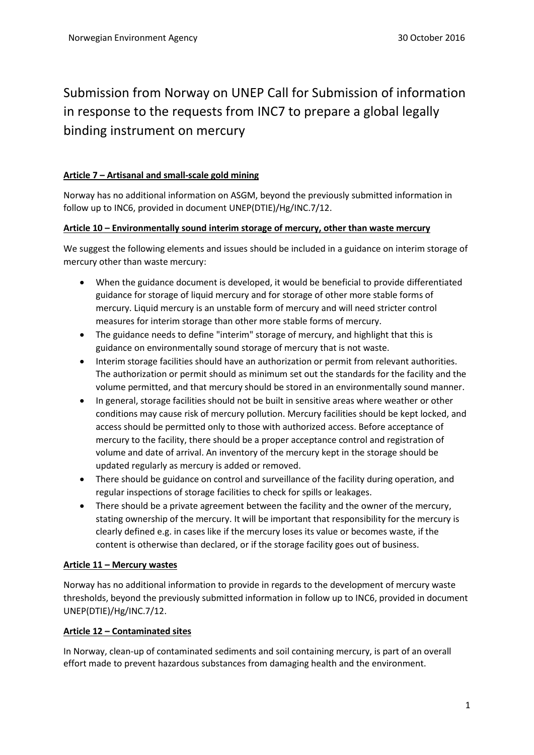# Submission from Norway on UNEP Call for Submission of information in response to the requests from INC7 to prepare a global legally binding instrument on mercury

# **Article 7 – Artisanal and small-scale gold mining**

Norway has no additional information on ASGM, beyond the previously submitted information in follow up to INC6, provided in document UNEP(DTIE)/Hg/INC.7/12.

## **Article 10 – Environmentally sound interim storage of mercury, other than waste mercury**

We suggest the following elements and issues should be included in a guidance on interim storage of mercury other than waste mercury:

- When the guidance document is developed, it would be beneficial to provide differentiated guidance for storage of liquid mercury and for storage of other more stable forms of mercury. Liquid mercury is an unstable form of mercury and will need stricter control measures for interim storage than other more stable forms of mercury.
- The guidance needs to define "interim" storage of mercury, and highlight that this is guidance on environmentally sound storage of mercury that is not waste.
- Interim storage facilities should have an authorization or permit from relevant authorities. The authorization or permit should as minimum set out the standards for the facility and the volume permitted, and that mercury should be stored in an environmentally sound manner.
- In general, storage facilities should not be built in sensitive areas where weather or other conditions may cause risk of mercury pollution. Mercury facilities should be kept locked, and access should be permitted only to those with authorized access. Before acceptance of mercury to the facility, there should be a proper acceptance control and registration of volume and date of arrival. An inventory of the mercury kept in the storage should be updated regularly as mercury is added or removed.
- There should be guidance on control and surveillance of the facility during operation, and regular inspections of storage facilities to check for spills or leakages.
- There should be a private agreement between the facility and the owner of the mercury, stating ownership of the mercury. It will be important that responsibility for the mercury is clearly defined e.g. in cases like if the mercury loses its value or becomes waste, if the content is otherwise than declared, or if the storage facility goes out of business.

# **Article 11 – Mercury wastes**

Norway has no additional information to provide in regards to the development of mercury waste thresholds, beyond the previously submitted information in follow up to INC6, provided in document UNEP(DTIE)/Hg/INC.7/12.

## **Article 12 – Contaminated sites**

In Norway, clean-up of contaminated sediments and soil containing mercury, is part of an overall effort made to prevent hazardous substances from damaging health and the environment.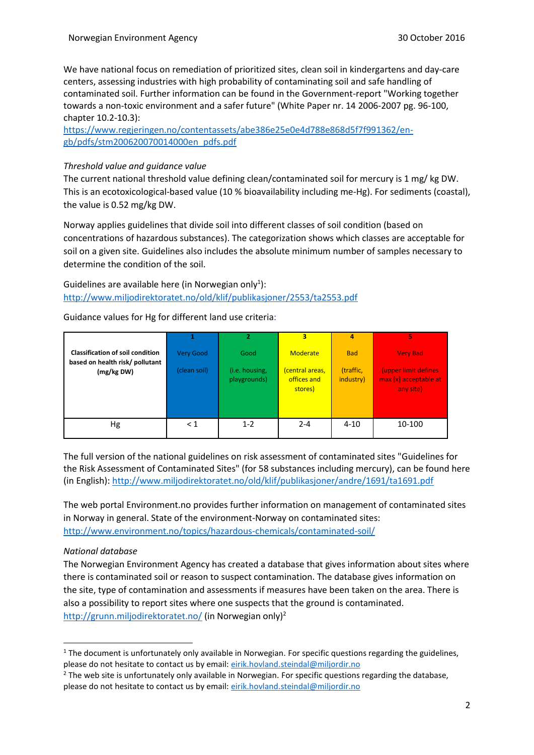We have national focus on remediation of prioritized sites, clean soil in kindergartens and day-care centers, assessing industries with high probability of contaminating soil and safe handling of contaminated soil. Further information can be found in the Government-report "Working together towards a non-toxic environment and a safer future" (White Paper nr. 14 2006-2007 pg. 96-100, chapter 10.2-10.3):

[https://www.regjeringen.no/contentassets/abe386e25e0e4d788e868d5f7f991362/en](https://www.regjeringen.no/contentassets/abe386e25e0e4d788e868d5f7f991362/en-gb/pdfs/stm200620070014000en_pdfs.pdf)[gb/pdfs/stm200620070014000en\\_pdfs.pdf](https://www.regjeringen.no/contentassets/abe386e25e0e4d788e868d5f7f991362/en-gb/pdfs/stm200620070014000en_pdfs.pdf)

## *Threshold value and guidance value*

The current national threshold value defining clean/contaminated soil for mercury is 1 mg/ kg DW. This is an ecotoxicological-based value (10 % bioavailability including me-Hg). For sediments (coastal), the value is 0.52 mg/kg DW.

Norway applies guidelines that divide soil into different classes of soil condition (based on concentrations of hazardous substances). The categorization shows which classes are acceptable for soil on a given site. Guidelines also includes the absolute minimum number of samples necessary to determine the condition of the soil.

Guidelines are available here (in Norwegian only<sup>1</sup>): <http://www.miljodirektoratet.no/old/klif/publikasjoner/2553/ta2553.pdf>

Guidance values for Hg for different land use criteria:

|                                                                            |              | $\overline{2}$                 | 3                                         | 4                      | 5                                                          |
|----------------------------------------------------------------------------|--------------|--------------------------------|-------------------------------------------|------------------------|------------------------------------------------------------|
| <b>Classification of soil condition</b><br>based on health risk/ pollutant | Very Good    | Good                           | Moderate                                  | <b>Bad</b>             | <b>Very Bad</b>                                            |
| (mg/kg DW)                                                                 | (clean soil) | (i.e. housing,<br>playgrounds) | (central areas,<br>offices and<br>stores) | (traffic,<br>industry) | (upper limit defines<br>max [x] acceptable at<br>any site) |
| Hg                                                                         | $\leq 1$     | $1 - 2$                        | $2 - 4$                                   | $4 - 10$               | 10-100                                                     |

The full version of the national guidelines on risk assessment of contaminated sites "Guidelines for the Risk Assessment of Contaminated Sites" (for 58 substances including mercury), can be found here (in English): <http://www.miljodirektoratet.no/old/klif/publikasjoner/andre/1691/ta1691.pdf>

The web portal Environment.no provides further information on management of contaminated sites in Norway in general. State of the environment-Norway on contaminated sites: <http://www.environment.no/topics/hazardous-chemicals/contaminated-soil/>

#### *National database*

1

The Norwegian Environment Agency has created a database that gives information about sites where there is contaminated soil or reason to suspect contamination. The database gives information on the site, type of contamination and assessments if measures have been taken on the area. There is also a possibility to report sites where one suspects that the ground is contaminated. <http://grunn.miljodirektoratet.no/> (in Norwegian only)<sup>2</sup>

<sup>&</sup>lt;sup>1</sup> The document is unfortunately only available in Norwegian. For specific questions regarding the guidelines, please do not hesitate to contact us by email: [eirik.hovland.steindal@miljordir.no](mailto:eirik.hovland.steindal@miljordir.no)

<sup>&</sup>lt;sup>2</sup> The web site is unfortunately only available in Norwegian. For specific questions regarding the database, please do not hesitate to contact us by email: [eirik.hovland.steindal@miljordir.no](mailto:eirik.hovland.steindal@miljordir.no)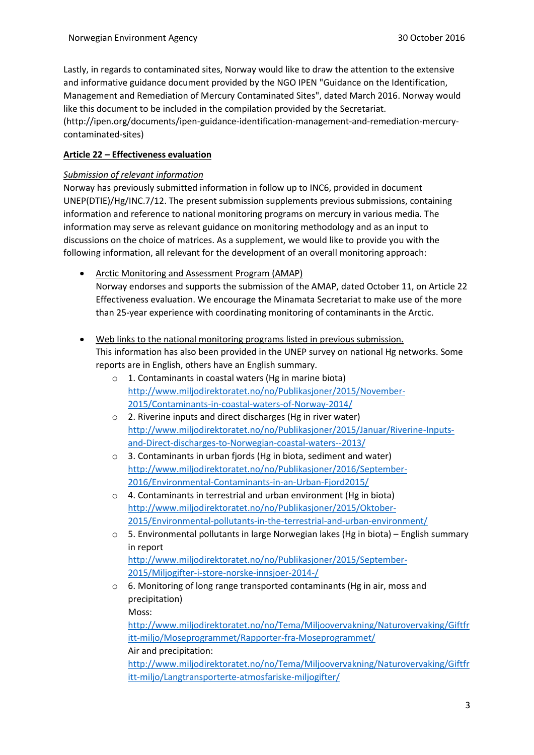Lastly, in regards to contaminated sites, Norway would like to draw the attention to the extensive and informative guidance document provided by the NGO IPEN "Guidance on the Identification, Management and Remediation of Mercury Contaminated Sites", dated March 2016. Norway would like this document to be included in the compilation provided by the Secretariat. (http://ipen.org/documents/ipen-guidance-identification-management-and-remediation-mercurycontaminated-sites)

# **Article 22 – Effectiveness evaluation**

## *Submission of relevant information*

Norway has previously submitted information in follow up to INC6, provided in document UNEP(DTIE)/Hg/INC.7/12. The present submission supplements previous submissions, containing information and reference to national monitoring programs on mercury in various media. The information may serve as relevant guidance on monitoring methodology and as an input to discussions on the choice of matrices. As a supplement, we would like to provide you with the following information, all relevant for the development of an overall monitoring approach:

- Arctic Monitoring and Assessment Program (AMAP) Norway endorses and supports the submission of the AMAP, dated October 11, on Article 22 Effectiveness evaluation. We encourage the Minamata Secretariat to make use of the more than 25-year experience with coordinating monitoring of contaminants in the Arctic.
- Web links to the national monitoring programs listed in previous submission. This information has also been provided in the UNEP survey on national Hg networks. Some reports are in English, others have an English summary.
	- o 1. Contaminants in coastal waters (Hg in marine biota) [http://www.miljodirektoratet.no/no/Publikasjoner/2015/November-](http://www.miljodirektoratet.no/no/Publikasjoner/2015/November-2015/Contaminants-in-coastal-waters-of-Norway-2014/)[2015/Contaminants-in-coastal-waters-of-Norway-2014/](http://www.miljodirektoratet.no/no/Publikasjoner/2015/November-2015/Contaminants-in-coastal-waters-of-Norway-2014/)
	- o 2. Riverine inputs and direct discharges (Hg in river water) [http://www.miljodirektoratet.no/no/Publikasjoner/2015/Januar/Riverine-Inputs](http://www.miljodirektoratet.no/no/Publikasjoner/2015/Januar/Riverine-Inputs-and-Direct-discharges-to-Norwegian-coastal-waters--2013/)[and-Direct-discharges-to-Norwegian-coastal-waters--2013/](http://www.miljodirektoratet.no/no/Publikasjoner/2015/Januar/Riverine-Inputs-and-Direct-discharges-to-Norwegian-coastal-waters--2013/)
	- o 3. Contaminants in urban fjords (Hg in biota, sediment and water) [http://www.miljodirektoratet.no/no/Publikasjoner/2016/September-](http://www.miljodirektoratet.no/no/Publikasjoner/2016/September-2016/Environmental-Contaminants-in-an-Urban-Fjord2015/)[2016/Environmental-Contaminants-in-an-Urban-Fjord2015/](http://www.miljodirektoratet.no/no/Publikasjoner/2016/September-2016/Environmental-Contaminants-in-an-Urban-Fjord2015/)
	- o 4. Contaminants in terrestrial and urban environment (Hg in biota) [http://www.miljodirektoratet.no/no/Publikasjoner/2015/Oktober-](http://www.miljodirektoratet.no/no/Publikasjoner/2015/Oktober-2015/Environmental-pollutants-in-the-terrestrial-and-urban-environment/)[2015/Environmental-pollutants-in-the-terrestrial-and-urban-environment/](http://www.miljodirektoratet.no/no/Publikasjoner/2015/Oktober-2015/Environmental-pollutants-in-the-terrestrial-and-urban-environment/)
	- o 5. Environmental pollutants in large Norwegian lakes (Hg in biota) English summary in report [http://www.miljodirektoratet.no/no/Publikasjoner/2015/September-](http://www.miljodirektoratet.no/no/Publikasjoner/2015/September-2015/Miljogifter-i-store-norske-innsjoer-2014-/)[2015/Miljogifter-i-store-norske-innsjoer-2014-/](http://www.miljodirektoratet.no/no/Publikasjoner/2015/September-2015/Miljogifter-i-store-norske-innsjoer-2014-/)
	- o 6. Monitoring of long range transported contaminants (Hg in air, moss and precipitation)

Moss:

[http://www.miljodirektoratet.no/no/Tema/Miljoovervakning/Naturovervaking/Giftfr](http://www.miljodirektoratet.no/no/Tema/Miljoovervakning/Naturovervaking/Giftfritt-miljo/Moseprogrammet/Rapporter-fra-Moseprogrammet/) [itt-miljo/Moseprogrammet/Rapporter-fra-Moseprogrammet/](http://www.miljodirektoratet.no/no/Tema/Miljoovervakning/Naturovervaking/Giftfritt-miljo/Moseprogrammet/Rapporter-fra-Moseprogrammet/) Air and precipitation:

[http://www.miljodirektoratet.no/no/Tema/Miljoovervakning/Naturovervaking/Giftfr](http://www.miljodirektoratet.no/no/Tema/Miljoovervakning/Naturovervaking/Giftfritt-miljo/Langtransporterte-atmosfariske-miljogifter/) [itt-miljo/Langtransporterte-atmosfariske-miljogifter/](http://www.miljodirektoratet.no/no/Tema/Miljoovervakning/Naturovervaking/Giftfritt-miljo/Langtransporterte-atmosfariske-miljogifter/)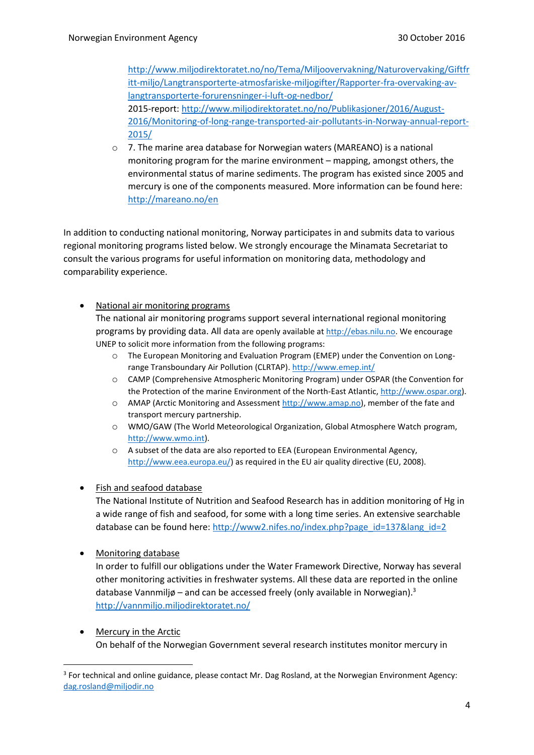[http://www.miljodirektoratet.no/no/Tema/Miljoovervakning/Naturovervaking/Giftfr](http://www.miljodirektoratet.no/no/Tema/Miljoovervakning/Naturovervaking/Giftfritt-miljo/Langtransporterte-atmosfariske-miljogifter/Rapporter-fra-overvaking-av-langtransporterte-forurensninger-i-luft-og-nedbor/) [itt-miljo/Langtransporterte-atmosfariske-miljogifter/Rapporter-fra-overvaking-av](http://www.miljodirektoratet.no/no/Tema/Miljoovervakning/Naturovervaking/Giftfritt-miljo/Langtransporterte-atmosfariske-miljogifter/Rapporter-fra-overvaking-av-langtransporterte-forurensninger-i-luft-og-nedbor/)[langtransporterte-forurensninger-i-luft-og-nedbor/](http://www.miljodirektoratet.no/no/Tema/Miljoovervakning/Naturovervaking/Giftfritt-miljo/Langtransporterte-atmosfariske-miljogifter/Rapporter-fra-overvaking-av-langtransporterte-forurensninger-i-luft-og-nedbor/) 2015-report: [http://www.miljodirektoratet.no/no/Publikasjoner/2016/August-](http://www.miljodirektoratet.no/no/Publikasjoner/2016/August-2016/Monitoring-of-long-range-transported-air-pollutants-in-Norway-annual-report-2015/)[2016/Monitoring-of-long-range-transported-air-pollutants-in-Norway-annual-report-](http://www.miljodirektoratet.no/no/Publikasjoner/2016/August-2016/Monitoring-of-long-range-transported-air-pollutants-in-Norway-annual-report-2015/)[2015/](http://www.miljodirektoratet.no/no/Publikasjoner/2016/August-2016/Monitoring-of-long-range-transported-air-pollutants-in-Norway-annual-report-2015/)

 $\circ$  7. The marine area database for Norwegian waters (MAREANO) is a national monitoring program for the marine environment – mapping, amongst others, the environmental status of marine sediments. The program has existed since 2005 and mercury is one of the components measured. More information can be found here: <http://mareano.no/en>

In addition to conducting national monitoring, Norway participates in and submits data to various regional monitoring programs listed below. We strongly encourage the Minamata Secretariat to consult the various programs for useful information on monitoring data, methodology and comparability experience.

National air monitoring programs

The national air monitoring programs support several international regional monitoring programs by providing data. All data are openly available a[t http://ebas.nilu.no.](http://ebas.nilu.no/) We encourage UNEP to solicit more information from the following programs:

- o The European Monitoring and Evaluation Program (EMEP) under the Convention on Longrange Transboundary Air Pollution (CLRTAP).<http://www.emep.int/>
- o CAMP (Comprehensive Atmospheric Monitoring Program) under OSPAR (the Convention for the Protection of the marine Environment of the North-East Atlantic[, http://www.ospar.org\)](http://www.ospar.org/).
- o AMAP (Arctic Monitoring and Assessment [http://www.amap.no\)](http://www.amap.no/), member of the fate and transport mercury partnership.
- o WMO/GAW (The World Meteorological Organization, Global Atmosphere Watch program, [http://www.wmo.int\)](http://www.wmo.int/).
- o A subset of the data are also reported to EEA (European Environmental Agency, [http://www.eea.europa.eu/\)](http://www.eea.europa.eu/) as required in the EU air quality directive (EU, 2008).
- Fish and seafood database

The National Institute of Nutrition and Seafood Research has in addition monitoring of Hg in a wide range of fish and seafood, for some with a long time series. An extensive searchable database can be found here: [http://www2.nifes.no/index.php?page\\_id=137&lang\\_id=2](http://www2.nifes.no/index.php?page_id=137&lang_id=2)

• Monitoring database

1

In order to fulfill our obligations under the Water Framework Directive, Norway has several other monitoring activities in freshwater systems. All these data are reported in the online database Vannmiljø – and can be accessed freely (only available in Norwegian).<sup>3</sup> <http://vannmiljo.miljodirektoratet.no/>

• Mercury in the Arctic On behalf of the Norwegian Government several research institutes monitor mercury in

<sup>&</sup>lt;sup>3</sup> For technical and online guidance, please contact Mr. Dag Rosland, at the Norwegian Environment Agency: [dag.rosland@miljodir.no](mailto:dag.rosland@miljodir.no)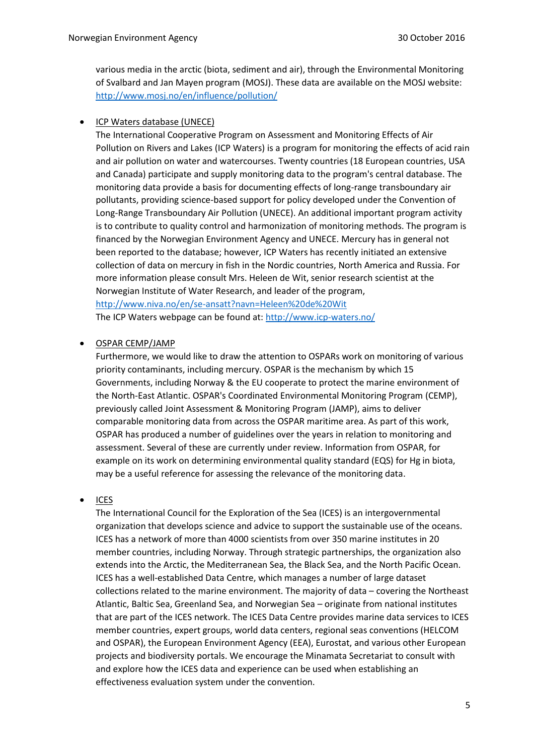various media in the arctic (biota, sediment and air), through the Environmental Monitoring of Svalbard and Jan Mayen program (MOSJ). These data are available on the MOSJ website: <http://www.mosj.no/en/influence/pollution/>

ICP Waters database (UNECE)

The International Cooperative Program on Assessment and Monitoring Effects of Air Pollution on Rivers and Lakes (ICP Waters) is a program for monitoring the effects of acid rain and air pollution on water and watercourses. Twenty countries (18 European countries, USA and Canada) participate and supply monitoring data to the program's central database. The monitoring data provide a basis for documenting effects of long-range transboundary air pollutants, providing science-based support for policy developed under the Convention of Long-Range Transboundary Air Pollution (UNECE). An additional important program activity is to contribute to quality control and harmonization of monitoring methods. The program is financed by the Norwegian Environment Agency and UNECE. Mercury has in general not been reported to the database; however, ICP Waters has recently initiated an extensive collection of data on mercury in fish in the Nordic countries, North America and Russia. For more information please consult Mrs. Heleen de Wit, senior research scientist at the Norwegian Institute of Water Research, and leader of the program, <http://www.niva.no/en/se-ansatt?navn=Heleen%20de%20Wit>

The ICP Waters webpage can be found at:<http://www.icp-waters.no/>

## OSPAR CEMP/JAMP

Furthermore, we would like to draw the attention to OSPARs work on monitoring of various priority contaminants, including mercury. OSPAR is the mechanism by which 15 Governments, including Norway & the EU cooperate to protect the marine environment of the North-East Atlantic. OSPAR's Coordinated Environmental Monitoring Program (CEMP), previously called Joint Assessment & Monitoring Program (JAMP), aims to deliver comparable monitoring data from across the OSPAR maritime area. As part of this work, OSPAR has produced a number of guidelines over the years in relation to monitoring and assessment. Several of these are currently under review. Information from OSPAR, for example on its work on determining environmental quality standard (EQS) for Hg in biota, may be a useful reference for assessing the relevance of the monitoring data.

#### ICES

The International Council for the Exploration of the Sea (ICES) is an intergovernmental organization that develops science and advice to support the sustainable use of the oceans. ICES has a network of more than 4000 scientists from over 350 marine institutes in 20 member countries, including Norway. Through strategic partnerships, the organization also extends into the Arctic, the Mediterranean Sea, the Black Sea, and the North Pacific Ocean. ICES has a well-established Data Centre, which manages a number of large dataset collections related to the marine environment. The majority of data – covering the Northeast Atlantic, Baltic Sea, Greenland Sea, and Norwegian Sea – originate from national institutes that are part of the ICES network. The ICES Data Centre provides marine data services to ICES member countries, expert groups, world data centers, regional seas conventions (HELCOM and OSPAR), the European Environment Agency (EEA), Eurostat, and various other European projects and biodiversity portals. We encourage the Minamata Secretariat to consult with and explore how the ICES data and experience can be used when establishing an effectiveness evaluation system under the convention.